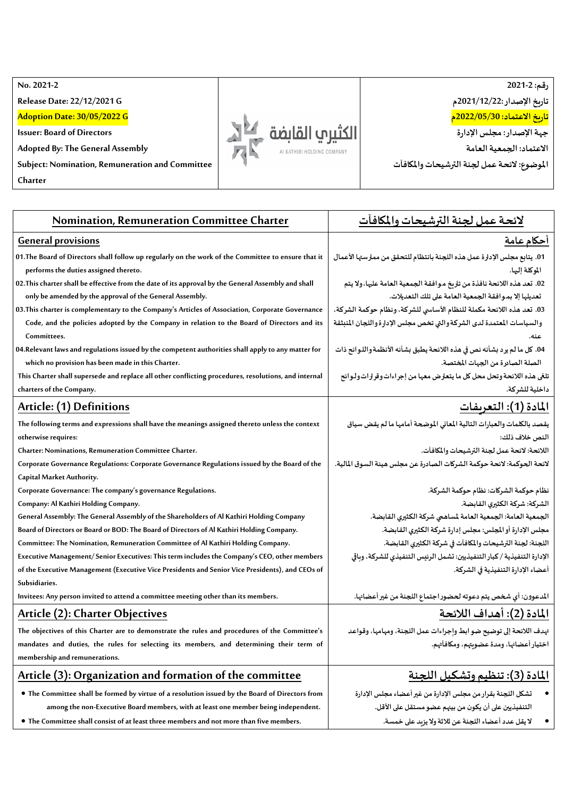**No. 2021 -2**

**Release Date: 22/12/2021 G**

**Adoption Date: 30/05/2022 G**

**Issuer: Board of Directors**

**Adopted By: The General Assembly**

**Subject: Nomination, Remuneration and Committee**

**Charter**





**تاريخ اإلصدار : 2021/12/22م** 

**تاريخ االعتماد: 2022/05/30م** 

**جهةاإلصدار: مجلس اإلدارة**

**االعتماد: الجمعية العامة**

**املوضوع: الئحـة عمل لجنةالترشيحاتواملكافآت** 

| Nomination, Remuneration Committee Charter                                                                                                   | لائحة عمل لجنة الترشيحات والمكافأت                                                         |
|----------------------------------------------------------------------------------------------------------------------------------------------|--------------------------------------------------------------------------------------------|
| <b>General provisions</b>                                                                                                                    | <u>أحكام عامة</u>                                                                          |
| 01. The Board of Directors shall follow up regularly on the work of the Committee to ensure that it<br>performs the duties assigned thereto. | 01. يتابع مجلس الإدارة عمل هذه اللجنة بانتظام للتحقق من ممارستها الأعمال<br>الموكلة إليها. |
| 02. This charter shall be effective from the date of its approval by the General Assembly and shall                                          | 02. تعد هذه اللائحة نافذة من تاريخ مـوافقة الجمعية العامة عليها، ولا يتم                   |
| only be amended by the approval of the General Assembly.                                                                                     | تعديلها إلا بمـوافقة الجمعية العامة على تلك التعديلات.                                     |
| 03. This charter is complementary to the Company's Articles of Association, Corporate Governance                                             | 03. تعد هذه اللائحة مكملة للنظام الأساسي للشركة، ونظام حوكمة الشركة،                       |
| Code, and the policies adopted by the Company in relation to the Board of Directors and its                                                  | والسياسات المعتمدة لدى الشركة والتي تخص مجلس الإدارة واللجان المنبثقة                      |
| Committees.                                                                                                                                  | عنه.                                                                                       |
| 04.Relevant laws and regulations issued by the competent authorities shall apply to any matter for                                           | 04. كل ما لم يرد بشأنه نص في هذه اللائحة يطبق بشأنه الأنظمة واللـوائح ذات                  |
| which no provision has been made in this Charter.                                                                                            | الصلة الصادرة من الجهات المختصة.                                                           |
| This Charter shall supersede and replace all other conflicting procedures, resolutions, and internal                                         | تلغي هذه اللائحة وتحل محل كل ما يتعارض معها من إجراءات وقرارات ولـوائح                     |
| charters of the Company.                                                                                                                     | داخلية للشركة.                                                                             |
| Article: (1) Definitions                                                                                                                     | <u> المادة (1): التعريفات</u>                                                              |
| The following terms and expressions shall have the meanings assigned thereto unless the context                                              | يقصد بالكلمات والعبارات التالية المعاني الموضحة أمامها ما لم يقض سياق                      |
| otherwise requires:                                                                                                                          | النص خلاف ذلك:                                                                             |
| Charter: Nominations, Remuneration Committee Charter.                                                                                        | اللائحة: لائحة عمل لجنة الترشيحات والمكافآت.                                               |
| Corporate Governance Regulations: Corporate Governance Regulations issued by the Board of the                                                | لائحة الحوكمة: لائحة حوكمة الشركات الصادرة عن مجلس هيئة السوق المالية.                     |
| Capital Market Authority.                                                                                                                    |                                                                                            |
| Corporate Governance: The company's governance Regulations.                                                                                  | نظام حوكمة الشركات: نظام حوكمة الشركة.                                                     |
| Company: Al Kathiri Holding Company.                                                                                                         | الشركة: شركة الكثيري القابضة.                                                              |
| General Assembly: The General Assembly of the Shareholders of Al Kathiri Holding Company                                                     | الجمعية العامة: الجمعية العامة لمساهمي شركة الكثيري القابضة.                               |
| Board of Directors or Board or BOD: The Board of Directors of Al Kathiri Holding Company.                                                    | مجلس الإدارة أو المجلس: مجلس إدارة شركة الكثيرى القابضة.                                   |
| Committee: The Nomination, Remuneration Committee of Al Kathiri Holding Company.                                                             | اللجنة: لجنة الترشيحات والمكافآت في شركة الكثيري القابضة.                                  |
| Executive Management/ Senior Executives: This term includes the Company's CEO, other members                                                 | الإدارة التنفيذية / كبار التنفيذيين: تشمل الرئيس التنفيذي للشركة، وباقي                    |
| of the Executive Management (Executive Vice Presidents and Senior Vice Presidents), and CEOs of                                              | أعضاء الإدارة التنفيذية في الشركة.                                                         |
| Subsidiaries.                                                                                                                                |                                                                                            |
| Invitees: Any person invited to attend a committee meeting other than its members.                                                           | المدعوون: أي شخص يتم دعوته لحضور اجتماع اللجنة من غير أعضائها.                             |
| Article (2): Charter Objectives                                                                                                              | المادة (2): أهداف اللائحة                                                                  |
| The objectives of this Charter are to demonstrate the rules and procedures of the Committee's                                                | تهدف اللائحة إلى توضيح ضو ابط وإجراءات عمل اللجنة، ومهامها، وقواعد                         |
| mandates and duties, the rules for selecting its members, and determining their term of                                                      | اختيار أعضائها، ومدة عضويتهم، ومكافآتهم.                                                   |
| membership and remunerations.                                                                                                                |                                                                                            |
| Article (3): Organization and formation of the committee                                                                                     | المادة (3): تنظيم وتشكيل اللحنة                                                            |
| • The Committee shall be formed by virtue of a resolution issued by the Board of Directors from                                              | تشكل اللجنة بقرار من مجلس الإدارة من غير أعضاء مجلس الإدارة                                |
| among the non-Executive Board members, with at least one member being independent.                                                           | التنفيذيين على أن يكون من بيهم عضو مستقل على الأقل.                                        |
| • The Committee shall consist of at least three members and not more than five members.                                                      | لا يقل عدد أعضاء اللجنة عن ثلاثة ولا يزيد على خمسة.                                        |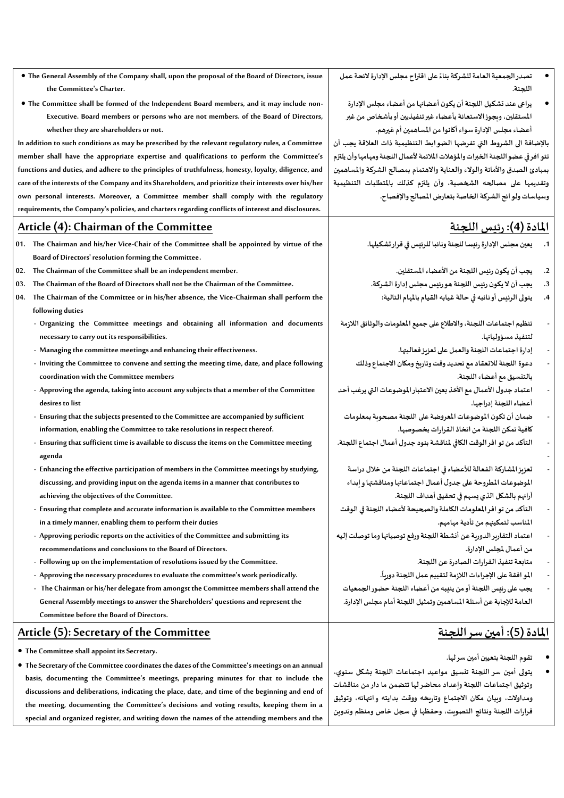- **The General Assembly of the Company shall, upon the proposal of the Board of Directors, issue the Committee's Charter.**
- **The Committee shall be formed of the Independent Board members, and it may include non-Executive. Board members or persons who are not members. of the Board of Directors, whether they are shareholders or not.**

**In addition to such conditions as may be prescribed by the relevant regulatory rules, a Committee member shall have the appropriate expertise and qualifications to perform the Committee's functions and duties, and adhere to the principles of truthfulness, honesty, loyalty, diligence, and care of the interests of the Company and its Shareholders, and prioritize their interests over his/her own personal interests. Moreover, a Committee member shall comply with the regulatory requirements, the Company's policies, and charters regarding conflicts of interest and disclosures.**

# **Article (4): Chairman of the Committee**

- **01. The Chairman and his/her Vice-Chair of the Committee shall be appointed by virtue of the Board of Directors' resolution forming the Committee .**
- **02. The Chairman of the Committee shall be an independent member.**
- **03. The Chairman of the Board of Directors shall not be the Chairman of the Committee.**
- **04. The Chairman of the Committee or in his/her absence, the Vice-Chairman shall perform the following duties**
	- **Organizing the Committee meetings and obtaining all information and documents necessary to carry out its responsibilities.**
	- **Managing the committee meetings and enhancing their effectiveness.**
	- **Inviting the Committee to convene and setting the meeting time, date, and place following coordination with the Committee members**
	- **Approving the agenda, taking into account any subjects that a member of the Committee desires to list**
	- **Ensuring that the subjects presented to the Committee are accompanied by sufficient information, enabling the Committee to take resolutions in respect thereof.**
	- **Ensuring that sufficient time is available to discuss the items on the Committee meeting agenda**
	- **Enhancing the effective participation of members in the Committee meetings by studying, discussing, and providing input on the agenda items in a manner that contributes to achieving the objectives of the Committee.**
	- **Ensuring that complete and accurate information is available to the Committee members in a timely manner, enabling them to perform their duties**
	- **Approving periodic reports on the activities of the Committee and submitting its recommendations and conclusions to the Board of Directors.**
	- **Following up on the implementation of resolutions issued by the Committee.**
	- **Approving the necessary procedures to evaluate the committee's work periodically.**
	- **The Chairman or his/her delegate from amongst the Committee members shall attend the General Assembly meetings to answer the Shareholders' questions and represent the Committee before the Board of Directors.**

# **Article (5): Secretary of the Committee**

- **The Committee shall appoint its Secretary.**
- **The Secretary of the Committee coordinates the dates of the Committee's meetings on an annual basis, documenting the Committee's meetings, preparing minutes for that to include the discussions and deliberations, indicating the place, date, and time of the beginning and end of the meeting, documenting the Committee's decisions and voting results, keeping them in a special and organized register, and writing down the names of the attending members and the**
- تصدر الجمعية العامة للشركة بناءً على اقتراح مجلس الإدارة لائحة عمل **ً اللجنة.** 
	- **يراعى عند تشكيل اللجنةأن يكون أعضائهامن أعضاءمجلس اإلدارة املستقلين،ويجوزاالستعانةبأعضاء غيرتنفيذيين أوبأشخاص من غير أعضاءمجلس اإلدارة سواء أكانوامن املساهمين أم غيرهم.**

**باإلضافة الى الشروط التي تفرضها الضوابط التنظيمية ذات العالقة يجب أن تتو افر في عضو اللجنة الخبرات واملؤهالت املالئمة ألعمال اللجنة ومهامها وأن يلتزم بمبادئ الصدق واألمانة والوالء والعناية واالهتمام بمصالح الشركة واملساهمين وتقديمها على مصالحه الشخصية، وأن يلتزم كذلك باملتطلبات التنظيمية وسياساتولوائح الشركةالخاصةبتعارض املصالحواإلفصاح.**

# **املادة )4(: رئيس اللجنة**

- **.1 يعين مجلس اإلدارةرئيسا للجنة ونائبا للرئيس في قرار تشكيلها.**
	- **.2 يجبأن يكون رئيس اللجنةمن األعضاء املستقلين.**
- **.3 يجبأن اليكون رئيس اللجنة هورئيس مجلس إدارةالشركة.**
	- **.4 يتولى الرئيس أو نائبه في حالة غيابه القيام باملهام التالية:**
- **- تنظيم اجتماعات اللجنة، واالطالع على جميع املعلوماتوالوثائق الالزمة لتنفيذ مسؤولياتها.**
	- **- إدارةاجتماعات اللجنةوالعمل علىتعزيزفعاليتها.**
	- **- دعوةاللجنةلالنعقادمع تحديد وقتوتاريخ ومكان االجتماع وذلك بالتنسيق مع أعضاء اللجنة.**
- **- اعتماد جدول األعمال مع األخذ بعين االعتباراملوضوعات التي يرغبأحد أعضاء اللجنةإدراجها.**
- **- ضمان أن تكون املوضوعات املعروضة على اللجنةمصحوبةبمعلومات كافيةتمكن اللجنةمن اتخاذالقرارات بخصوصها.**
- **- التأكد من تو افرالوقتالكافيملناقشةبنود جدول أعمال اجتماع اللجنة.**
	- **- تعزيزاملشاركةالفعالةلألعضاء فياجتماعات اللجنةمن خالل دراسة املو ضوعات املطروحة على جدول أعمال اجتماعاتهاومناقشتهاوإبداء آرائهم بالشكل الذي يسهم فيتحقيق أهداف اللجنة.**
- **- التأكد من تو افر املعلومات الكاملة والصحيحة ألعضاء اللجنة في الوقت املناسب لتمكينهم من تأدية مهامهم.**
- **- اعتمادالتقاريرالدورية عن أنشطةاللجنةورفع توصياتها وما توصلت إليه من أعمال ملجلس اإلدارة.**

**ً**

- **- متابعةتنفيذ القراراتالصادرة عن اللجنة.**
- **. - املو افقة علىاإلجراءات الالزمةلتقييم عمل اللجنةدوريا**
- **- يجبعلىرئيس اللجنةأومن ينيبهمن أعضاء اللجنة حضورالجمعيات العامة لإلجابة عن أسئلة املساهمين وتمثيل اللجنة أمام مجلس اإلدارة.**

# **املادة )5(: أمين سر اللجنة**

**-**

- **تقوم اللجنة بتعيين أمين سر لها.**
- **يتولى أمين سر اللجنة تنسيق مواعيد اجتماعات اللجنة بشكل سنوي، وتوثيق اجتماعات اللجنة وإعداد محاضر لها تتضمن ما دار من مناقشات ومداوالت، وبيان مكان االجتماع وتاريخه ووقت بدايته وانتهائه، وتوثيق قرارات اللجنة ونتائج التصويت، وحفظها في سجل خاص ومنظم وتدوين**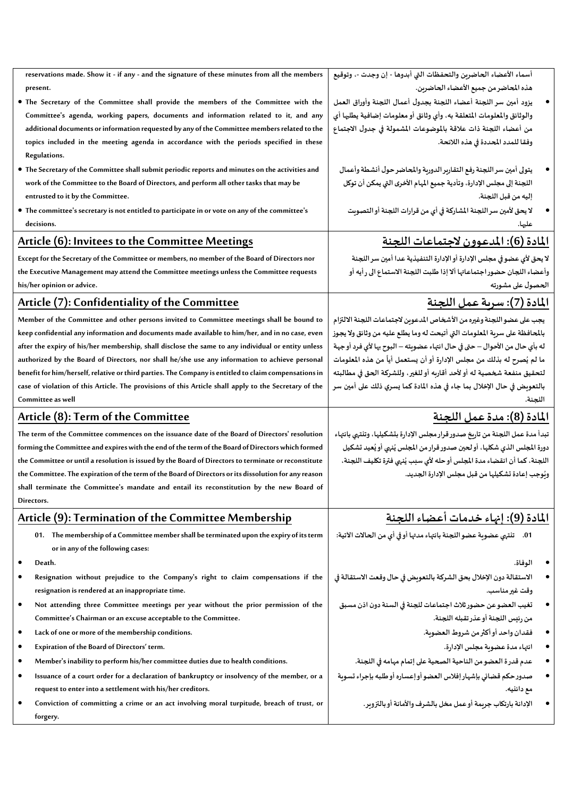| reservations made. Show it - if any - and the signature of these minutes from all the members<br>present. | أسماء الأعضاء الحاضرين والتحفظات التي أبدوها - إن وجدت -، وتوقيع<br>هذه المحاضر من جميع الأعضاء الحاضرين. |
|-----------------------------------------------------------------------------------------------------------|-----------------------------------------------------------------------------------------------------------|
| . The Secretary of the Committee shall provide the members of the Committee with the                      | يزود أمين سر اللجنة أعضاء اللجنة بجدول أعمال اللجنة وأوراق العمل                                          |
| Committee's agenda, working papers, documents and information related to it, and any                      | والوثائق والمعلومات المتعلقة به، وأي وثائق أو معلومات إضافية يطلبها أي                                    |
| additional documents or information requested by any of the Committee members related to the              | من أعضاء اللجنة ذات علاقة بالموضوعات المشمولة في جدول الاجتماع                                            |
| topics included in the meeting agenda in accordance with the periods specified in these                   | وفقا للمدد المحددة في هذه اللائحة.                                                                        |
|                                                                                                           |                                                                                                           |
| Regulations.                                                                                              |                                                                                                           |
| • The Secretary of the Committee shall submit periodic reports and minutes on the activities and          | يتولى أمين سر اللجنة رفع التقارير الدورية والمحاضر حول أنشطة وأعمال                                       |
| work of the Committee to the Board of Directors, and perform all other tasks that may be                  | اللجنة إلى مجلس الإدارة، وتأدية جميع المهام الأخرى التي يمكن أن توكل                                      |
| entrusted to it by the Committee.                                                                         | إليه من قبل اللجنة.                                                                                       |
| · The committee's secretary is not entitled to participate in or vote on any of the committee's           | لا يحق لأمين سر اللجنة المشاركة في أي من قرارات اللجنة أو التصويت                                         |
| decisions.                                                                                                | عليها.                                                                                                    |
| <b>Article (6): Invitees to the Committee Meetings</b>                                                    | <u> المادة (6): المدعوون لاجتماعات اللجنة</u>                                                             |
| Except for the Secretary of the Committee or members, no member of the Board of Directors nor             | لا يحق لأى عضو في مجلس الإدارة أو الإدارة التنفيذية عدا أمين سر اللجنة                                    |
| the Executive Management may attend the Committee meetings unless the Committee requests                  | وأعضاء اللجان حضور اجتماعاتها ألا إذا طلبت اللجنة الاستماع الى رأيه أو                                    |
| his/her opinion or advice.                                                                                | الحصول على مشورته                                                                                         |
| Article (7): Confidentiality of the Committee                                                             | <u>المادة (7): سرية عمل اللجنة</u>                                                                        |
| Member of the Committee and other persons invited to Committee meetings shall be bound to                 | يجب على عضو اللجنة وغيره من الأشخاص المدعوين لاجتماعات اللجنة الالتزام                                    |
| keep confidential any information and documents made available to him/her, and in no case, even           | بالمحافظة على سربة المعلومات التي أتيحت له وما يطلع عليه من وثائق ولا يجوز                                |
| after the expiry of his/her membership, shall disclose the same to any individual or entity unless        | له بأى حال من الأحوال – حتى في حال انتهاء عضويته – البوح بها لأى فرد أو جهة                               |
| authorized by the Board of Directors, nor shall he/she use any information to achieve personal            | ما لم يُصرح له بذلك من مجلس الإدارة أو أن يستعمل أياً من هذه المعلومات                                    |
| benefit for him/herself, relative or third parties. The Company is entitled to claim compensations in     | لتحقيق منفعة شخصية له أو لأحد أقاربه أو للغير، وللشركة الحق في مطالبته                                    |
| case of violation of this Article. The provisions of this Article shall apply to the Secretary of the     | بالتعويض في حال الإخلال بما جاء في هذه المادة كما يسري ذلك على أمين سر                                    |
| Committee as well                                                                                         | اللجنة.                                                                                                   |
| Article (8): Term of the Committee                                                                        | <u>المادة (8): مدة عمل اللجنة</u>                                                                         |
| The term of the Committee commences on the issuance date of the Board of Directors' resolution            | تبدأ مدة عمل اللجنة من تاريخ صدور قرار مجلس الإدارة بتشكيلها، وتنتهى بانتهاء                              |
| forming the Committee and expires with the end of the term of the Board of Directors which formed         | دورة المجلس الذي شكلها، أو لحين صدور قرار من المجلس يُنهى أو يُعيد تشكيل                                  |
| the Committee or until a resolution is issued by the Board of Directors to terminate or reconstitute      | اللجنة، كما أن انقضاء مدة المجلس أوحله لأي سبب يُنهي فترة تكليف اللجنة،                                   |
| the Committee. The expiration of the term of the Board of Directors or its dissolution for any reason     | وبُوجب إعادة تشكيلها من قبل مجلس الإدارة الجديد.                                                          |
| shall terminate the Committee's mandate and entail its reconstitution by the new Board of                 |                                                                                                           |
| Directors.                                                                                                |                                                                                                           |
| Article (9): Termination of the Committee Membership                                                      | المادة (9): إنهاء خدمات أعضاء اللجنة                                                                      |
| 01. The membership of a Committee member shall be terminated upon the expiry of its term                  | تلتهى عضوية عضو اللجنة بانتهاء مدتها أو في أي من الحالات الآتية:<br>.01                                   |
| or in any of the following cases:                                                                         |                                                                                                           |
| Death.                                                                                                    | الوفاة.                                                                                                   |
| Resignation without prejudice to the Company's right to claim compensations if the                        | الاستقالة دون الإخلال بحق الشركة بالتعويض في حال وقعت الاستقالة في                                        |
| resignation is rendered at an inappropriate time.                                                         | وقت غير مناسب.                                                                                            |
| Not attending three Committee meetings per year without the prior permission of the<br>$\bullet$          | تغيب العضو عن حضور ثلاث اجتماعات للجنة في السنة دون اذن مسبق                                              |
| Committee's Chairman or an excuse acceptable to the Committee.                                            | من رئيس اللجنة أو عذر تقبله اللجنة.                                                                       |
| Lack of one or more of the membership conditions.<br>٠                                                    | فقدان واحد أو أكثر من شروط العضوبة.                                                                       |
| Expiration of the Board of Directors' term.<br>٠                                                          | انتهاء مدة عضوية مجلس الإدارة.                                                                            |
| Member's inability to perform his/her committee duties due to health conditions.<br>٠                     | عدم قدر ة العضو من الناحية الصحية على إتمام مهامه في اللجنة.                                              |
| Issuance of a court order for a declaration of bankruptcy or insolvency of the member, or a<br>٠          | صدور حكم قضائي بإشهار إفلاس العضو أو إعساره أو طلبه بإجراء تسوبة                                          |
| request to enter into a settlement with his/her creditors.                                                | مع دائليه.                                                                                                |
| Conviction of committing a crime or an act involving moral turpitude, breach of trust, or                 | الإدانة بارتكاب جربمة أوعمل مخل بالشرف والأمانة أو بالتزوير.                                              |
| forgery.                                                                                                  |                                                                                                           |
|                                                                                                           |                                                                                                           |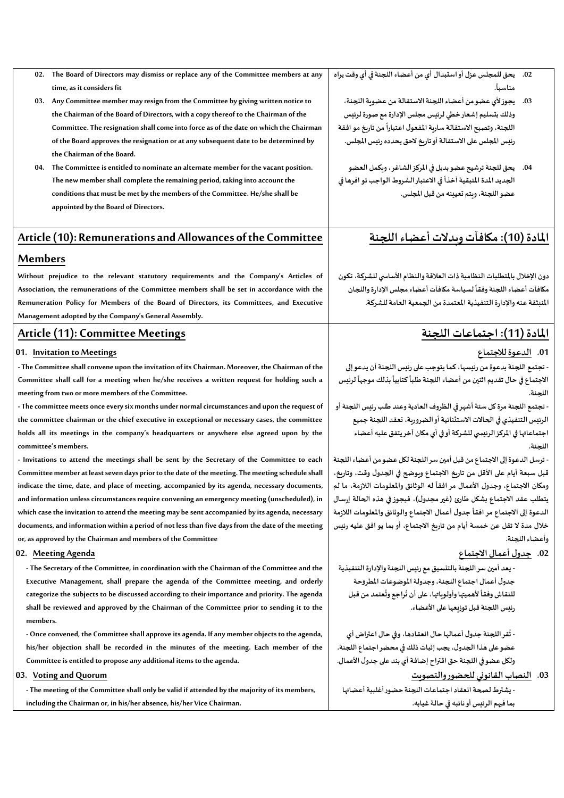- **02. The Board of Directors may dismiss or replace any of the Committee members at any time, as it considers fit**
- **03. Any Committee member may resign from the Committee by giving written notice to the Chairman of the Board of Directors, with a copy thereof to the Chairman of the Committee. The resignation shall come into force as of the date on which the Chairman of the Board approves the resignation or at any subsequent date to be determined by the Chairman of the Board.**
- **04. The Committee is entitled to nominate an alternate member for the vacant position. The new member shall complete the remaining period, taking into account the conditions that must be met by the members of the Committee. He/she shall be appointed by the Board of Directors.**

# **Article (10): Remunerations and Allowances of the Committee**

## **Members**

**Without prejudice to the relevant statutory requirements and the Company's Articles of Association, the remunerations of the Committee members shall be set in accordance with the Remuneration Policy for Members of the Board of Directors, its Committees, and Executive Management adopted by the Company's General Assembly.**

# **Article (11): Committee Meetings**

### **01. Invitation to Meetings**

**- The Committee shall convene upon the invitation of its Chairman. Moreover, the Chairman of the Committee shall call for a meeting when he/she receives a written request for holding such a meeting from two or more members of the Committee.**

**- The committee meets once every six months under normal circumstances and upon the request of the committee chairman or the chief executive in exceptional or necessary cases, the committee holds all its meetings in the company's headquarters or anywhere else agreed upon by the committee's members.**

**- Invitations to attend the meetings shall be sent by the Secretary of the Committee to each Committee member at least seven days prior to the date of the meeting. The meeting schedule shall indicate the time, date, and place of meeting, accompanied by its agenda, necessary documents, and information unless circumstances require convening an emergency meeting (unscheduled), in which case the invitation to attend the meeting may be sent accompanied by its agenda, necessary documents, and information within a period of not less than five days from the date of the meeting or, as approved by the Chairman and members of the Committee**

#### **02. Meeting Agenda**

**- The Secretary of the Committee, in coordination with the Chairman of the Committee and the Executive Management, shall prepare the agenda of the Committee meeting, and orderly categorize the subjects to be discussed according to their importance and priority. The agenda shall be reviewed and approved by the Chairman of the Committee prior to sending it to the members.**

**- Once convened, the Committee shall approve its agenda. If any member objects to the agenda, his/her objection shall be recorded in the minutes of the meeting. Each member of the Committee is entitled to propose any additional items to the agenda.**

#### **03. Voting and Quorum**

**- The meeting of the Committee shall only be valid if attended by the majority of its members, including the Chairman or, in his/her absence, his/her Vice Chairman.**

- **.02 يحق للمجلس عزل أواستبدال أي من أعضاء اللجنةفيأي وقتيراه . ً مناسبا**
	- **.03 يجوزألي عضومن أعضاء اللجنةاالستقالةمن عضويةاللجنة، وذلكبتسليم إشعارخطي لرئيس مجلس اإلدارةمع صورة لرئيس اللجنة،وتصبح االستقالة ساريةاملفعول من تاريخ مو افقة اعتبارا ً رئيس املجلس علىاالستقالةأوتاريخ الحق يحددهرئيس املجلس.**
	- **.04 يحق للجنة ترشيح عضو بديل في املركز الشاغر، ويكمل العضو**  الجديد المدة المتبقية آخذاً في الاعتبار الشروط الواجب تو افرها في **ً عضو اللجنة، ويتم تعيينه من قبل املجلس.**

# **املادة )10(: مكافآت وبدالت أعضاء اللجنة**

**دون اإلخالل باملتطلبات النظاميةذات العالقةوالنظام األساس ي للشركة، تكون** مكافآت أعضاء اللجنة وفقاً لسياسة مكافآت أعضاء مجلس الإدارة واللجان **ً املنبثقة عنهواإلدارةالتنفيذيةاملعتمدةمن الجمعيةالعامةللشركة.**

# **املادة )11(: اجتماعات اللجنة**

### **.01 الدعوة لالجتماع**

**- تجتمع اللجنة بدعوةمن رئيسها،كما يتوجبعلىرئيس اللجنةأن يدعوإلى** الاجتماع في حال تقديم اثنين من أعضاء اللجنة طلباً كتابياً بذلك موجهاً لرئيس **ً ً ً اللجنة.** 

**- تجتمع اللجنةمرةكل ستةأشهرفيالظروف العاديةوعند طلبرئيس اللجنةأو الرئيس التنفيذي في الحاالت االستثنائية أو الضرورية، تعقد اللجنة جميع اجتماعاتها في املركز الرئيس ي للشركة أو في أي مكان آخر يتفق عليه أعضاء اللجنة.** 

**- ترسل الدعوة إلى االجتماع من قبل أمين سر اللجنة لكل عضو من أعضاء اللجنة قبل سبعة أيام على األقل من تاريخ االجتماع ويوضح في الجدول وقت، وتاريخ،** ومكان الاجتماع، وجدول الأعمال مر افقاً له الوثائق والمعلومات اللازمة، ما لم **ً يتطلب عقد االجتماع بشكل طارئ )غيرمجدول(، فيجوزفي هذه الحالة إرسال جدول أعمال االجتماع والوثائق واملعلومات الالزمة الدعوة إلى االجتماع مر افقا ً خالل مدة ال تقل عن خمسة أيام من تاريخ االجتماع، أوبما يو افق عليه رئيس وأعضاء اللجنة.**

# **.02 جدول أعمال االجتماع**

**- يعد أمين سراللجنةبالتنسيق مع رئيس اللجنةواإلدارةالتنفيذية جدول أعمال اجتماع اللجنة،وجدولةاملوضوعات املطروحة** للنقاش وفقاً لأهميتها وأولوياتها، على أن تُراجع وتُعتمد من قبل **ُ ُ ً رئيس اللجنة قبل توزيعها على األعضاء.** 

**- قراللجنة جدول أعمالها حال انعقادها،وفي حال اعتراض أي ت ُ عضوعلى هذا الجدول، يجبإثبات ذلكفيمحضراجتماع اللجنة. ولكل عضوفياللجنة حق اقتراح إضافةأي بند على جدول األعمال.**

## **.03 النصابالقانوني للحضوروالتصويت**

**- يشترط لصحة انعقاداجتماعات اللجنة حضورأغلبيةأعضائها بما فيهم الرئيس أو نائبه في حالة غيابه.**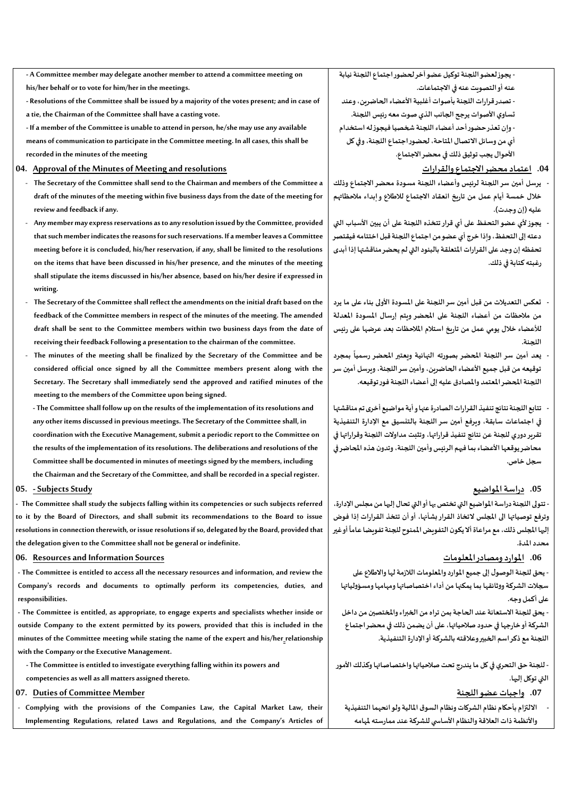**- A Committee member may delegate another member to attend a committee meeting on his/her behalf or to vote for him/her in the meetings.**

**- Resolutions of the Committee shall be issued by a majority of the votes present; and in case of a tie, the Chairman of the Committee shall have a casting vote.**

**- If a member of the Committee is unable to attend in person, he/she may use any available means of communication to participate in the Committee meeting. In all cases, this shall be recorded in the minutes of the meeting**

#### **04. Approval of the Minutes of Meeting and resolutions**

- **The Secretary of the Committee shall send to the Chairman and members of the Committee a draft of the minutes of the meeting within five business days from the date of the meeting for review and feedback if any.**
- **Any member may express reservations as to any resolution issued by the Committee, provided that such member indicates the reasons for such reservations. If a member leaves a Committee meeting before it is concluded, his/her reservation, if any, shall be limited to the resolutions on the items that have been discussed in his/her presence, and the minutes of the meeting shall stipulate the items discussed in his/her absence, based on his/her desire if expressed in writing.**
- **The Secretary of the Committee shall reflect the amendments on the initial draft based on the feedback of the Committee members in respect of the minutes of the meeting. The amended draft shall be sent to the Committee members within two business days from the date of receiving their feedback Following a presentation to the chairman of the committee.**
- The minutes of the meeting shall be finalized by the Secretary of the Committee and be **considered official once signed by all the Committee members present along with the Secretary. The Secretary shall immediately send the approved and ratified minutes of the meeting to the members of the Committee upon being signed.**

**- The Committee shall follow up on the results of the implementation of its resolutions and any other items discussed in previous meetings. The Secretary of the Committee shall, in coordination with the Executive Management, submit a periodic report to the Committee on the results of the implementation of its resolutions. The deliberations and resolutions of the Committee shall be documented in minutes of meetings signed by the members, including the Chairman and the Secretary of the Committee, and shall be recorded in a special register.**

#### **05. -SubjectsStudy**

**- The Committee shall study the subjects falling within its competencies or such subjects referred to it by the Board of Directors, and shall submit its recommendations to the Board to issue resolutions in connection therewith, or issue resolutions if so, delegated by the Board, provided that the delegation given to the Committee shall not be general or indefinite.**

#### **06. Resources and Information Sources**

**- The Committee is entitled to access all the necessary resources and information, and review the Company's records and documents to optimally perform its competencies, duties, and responsibilities.**

**- The Committee is entitled, as appropriate, to engage experts and specialists whether inside or outside Company to the extent permitted by its powers, provided that this is included in the minutes of the Committee meeting while stating the name of the expert and his/her relationship with the Company or the Executive Management.**

**- The Committee is entitled to investigate everything falling within its powers and** 

**competencies as well as all matters assigned thereto.**

### **07. Duties of Committee Member**

- **Complying with the provisions of the Companies Law, the Capital Market Law, their Implementing Regulations, related Laws and Regulations, and the Company's Articles of**  **- يجوزلعضواللجنةتوكيل عضوآخرلحضوراجتماع اللجنةنيابة عنه أو التصويت عنه في االجتماعات.**

**- تصدرقراراتاللجنةبأصوات أغلبيةاألعضاء الحاضرين،وعند تساوي األصوات يرجحالجانبالذيصوت معهرئيس اللجنة. أي من وسائل االتصال املتاحة،لحضوراجتماع اللجنة،وفيكل-وإن تعذرحضورأحد أعضاء اللجنةشخصيافيجوزلهاستخدام األحوال يجب توثيق ذلك في محضر االجتماع.** 

#### **.04 اعتمادمحضراالجتماع والقرارات**

- **- يرسل أمين سر اللجنة لرئيس وأعضاء اللجنة مسودة محضر االجتماع وذلك خالل خمسة أيام عمل من تاريخ انعقاد االجتماع لالطالع وإبداء مالحظاتهم** عليه (إن وجدت).
- **- يجوزألي عضوالتحفظ على أي قرارتتخذه اللجنة على أن يبين األسباب التي دعته إلى التحفظ، وإذا خرج أي عضو من اجتماع اللجنة قبل اختتامه فيقتصر تحفظهإن وجد علىالقراراتاملتعلقة بالبنود التي لم يحضر مناقشتها إذا أبدى**  رغبته كتابة في ذلك.
- **- تعكس التعديالت من قبل أمين سر اللجنة على املسودة األولى بناء على ما يرد من مالحظات من أعضاء اللجنة على املحضر ويتم إرسال املسودة املعدلة لألعضاء خالل يومي عمل من تاريخ استالم املالحظات بعد عرضها على رئيس اللجنة.**
- **- بمجرد يعد أمين سر اللجنة املحضر بصورته النهائية ويعتبر املحضر رسميا ً توقيعه من قبل جميع األعضاء الحاضرين، وأمين سر اللجنة، ويرسل أمين سر اللجنةاملحضراملعتمد واملصادق عليهإلىأعضاء اللجنةفورتوقيعه.**
- **- تتابع اللجنة نتائج تنفيذ القراراتالصادرة عنهاوأيةمواضيع أخرىتم مناقشتها في اجتماعات سابقة، ويرفع أمين سر اللجنة بالتنسيق مع اإلدارة التنفيذية تقريردوري للجنة عن نتائج تنفيذ قراراتها، وتثبت مداوالت اللجنةوقراراتها في** محاضر يوقعها الأعضاء بما فيهم الرئيس وأمين اللجنة، وتدون هذه المحاضر في **سجل خاص.**

### **.05 دراسةاملواضيع**

**- تتولى اللجنةدراسةاملواضيع التيتختصبها أوالتيتحال إليها منمجلساإلدارة، وترفع توصياتها الى املجلس التخاذ القراربشأنها، أوأن تتخذ القرارات إذا فوض** إليها المجلس ذلك، مع مراعاة ألا يكون التفويض الممنوح للجنة تفويضا عاماً أو غير **ً محدد املدة.** 

### **.06 املواردومصادراملعلومات**

**- يحق للجنةالوصول إلى جميع املواردواملعلومات الالزمةلهاواالطالع على سجالت الشركةووثائقها بما يمكنهامن أداء اختصاصاتهاومهامهاومسؤولياتها على أكمل وجه.** 

**- يحق للجنة االستعانة عند الحاجة بمن تراه من الخبراء واملختصين من داخل الشركةأوخارجها في حدود صالحياتها، على أن يضمن ذلكفيمحضراجتماع اللجنةمع ذكراسم الخبيروعالقتهبالشركةأواإلدارةالتنفيذية.**

- للجنة حق التحري في كل ما يندرج تحت صلاحياتها واختصاصاتها وكذلك الأمور **التي توكل إليها.** 

### **.07 واجبات عضو اللجنة**

**- االلتزام بأحكام نظام الشركاتونظام السوق املاليةولوائحهما التنفيذية واألنظمة ذات العالقةوالنظام األساس ي للشركة عند ممارستهملهامه**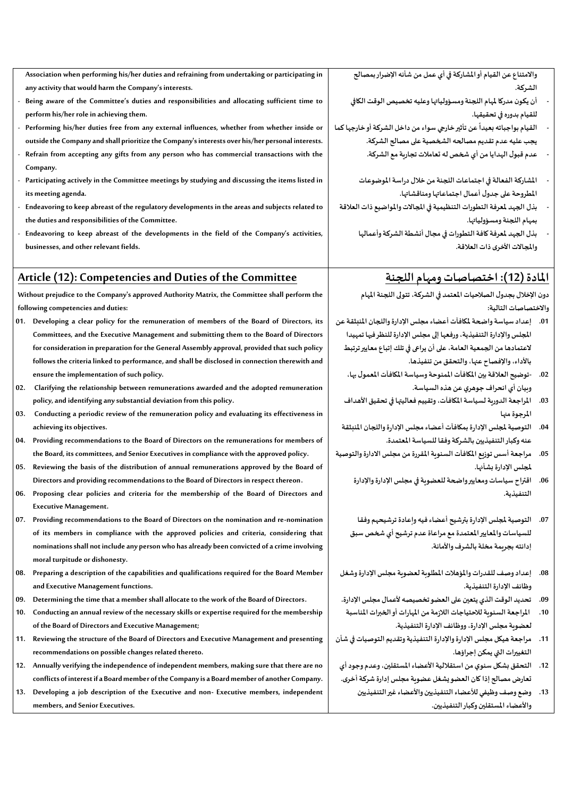| Association when performing his/her duties and refraining from undertaking or participating in    | والامتناع عن القيام أو المشاركة في أي عمل من شأنه الإضرار بمصالح        |  |
|---------------------------------------------------------------------------------------------------|-------------------------------------------------------------------------|--|
| any activity that would harm the Company's interests.                                             | الشركة.                                                                 |  |
| Being aware of the Committee's duties and responsibilities and allocating sufficient time to      | أن يكون مدركا لمهام اللجنة ومسؤولياتها وعليه تخصيص الوقت الكافي         |  |
| perform his/her role in achieving them.                                                           | للقيام بدوره في تحقيقها.                                                |  |
| - Performing his/her duties free from any external influences, whether from whether inside or     | القيام بواجباته بعيداً عن تأثير خارجي سواء من داخل الشركة أو خارجها كما |  |
| outside the Company and shall prioritize the Company's interests over his/her personal interests. | يجب عليه عدم تقديم مصالحه الشخصية على مصالح الشركة.                     |  |
| - Refrain from accepting any gifts from any person who has commercial transactions with the       | عدم قبول الهدايا من أي شخص له تعاملات تجارية مع الشركة.                 |  |
| Company.                                                                                          |                                                                         |  |
| - Participating actively in the Committee meetings by studying and discussing the items listed in | المشاركة الفعالة في اجتماعات اللجنة من خلال دراسة الموضوعات             |  |
| its meeting agenda.                                                                               | المطروحة على جدول أعمال اجتماعاتها ومناقشاتها.                          |  |
| - Endeavoring to keep abreast of the regulatory developments in the areas and subjects related to | بذل الجهد لمعرفة التطورات التنظيمية في المجالات والمواضيع ذات العلاقة   |  |
| the duties and responsibilities of the Committee.                                                 | بمهام اللجنة ومسؤولياتها.                                               |  |
| - Endeavoring to keep abreast of the developments in the field of the Company's activities,       | بذل الجهد لمعرفة كافة التطورات في مجال أنشطة الشركة وأعمالها            |  |
| businesses, and other relevant fields.                                                            | والمجالات الأخرى ذات العلاقة.                                           |  |

## **Article (12): Competencies and Duties of the Committee**

**Without prejudice to the Company's approved Authority Matrix, the Committee shall perform the following competencies and duties:**

- **01. Developing a clear policy for the remuneration of members of the Board of Directors, its Committees, and the Executive Management and submitting them to the Board of Directors for consideration in preparation for the General Assembly approval, provided that such policy follows the criteria linked to performance, and shall be disclosed in connection therewith and ensure the implementation of such policy .**
- **02. Clarifying the relationship between remunerations awarded and the adopted remuneration policy, and identifying any substantial deviation from this policy.**
- **03. Conducting a periodic review of the remuneration policy and evaluating its effectiveness in achieving its objectives.**
- **04. Providing recommendations to the Board of Directors on the remunerations for members of the Board, its committees,and Senior Executives in compliance with the approved policy.**
- **05. Reviewing the basis of the distribution of annual remunerations approved by the Board of Directors and providing recommendations to the Board of Directors in respect thereon .**
- **06. Proposing clear policies and criteria for the membership of the Board of Directors and Executive Management.**

**07. Providing recommendations to the Board of Directors on the nomination and re-nomination of its members in compliance with the approved policies and criteria, considering that nominations shall not include any person who has already been convicted of a crime involving moral turpitude or dishonesty .**

- **08. Preparing a description of the capabilities and qualifications required for the Board Member and Executive Management functions .**
- **09. Determining the time that a member shall allocate to the work of the Board of Directors .**
- **10. Conducting an annual review of the necessary skills or expertise required for the membership of the Board of Directors and Executive Management;**
- **11. Reviewing the structure of the Board of Directors and Executive Management and presenting recommendations on possible changes related thereto.**
- **12. Annually verifying the independence of independent members, making sure that there are no conflicts of interest if a Board member of the Company is a Board member of another Company.**
- **13. Developing a job description of the Executive and non- Executive members, independent members,and Senior Executives.**

# **املادة )12(: اختصاصات ومهام اللجنة**

**دون اإلخالل بجدول الصالحيات املعتمد فيالشركة، تتولىاللجنةاملهام واالختصاصات التالية:** 

- **.01 إعداد سياسة واضحةملكافآت أعضاءمجلس اإلدارةواللجان املنبثقة عن املجلس واإلدارةالتنفيذية،ورفعها إلىمجلس اإلدارة للنظرفيها تمهيدا العتمادها من الجمعية العامة، على أن يراعى في تلك إتباع معايير ترتبط باألداء، واإلفصاح عنها، والتحقق من تنفيذها.**
	- **.02 -توضيح العالقة بين املكافآت املمنوحةوسياسةاملكافآت املعمول بها، وبيان أي انحراف جوهري عن هذهالسياسة.**
	- **.03 املراجعة الدورية لسياسة املكافآت، وتقييم فعاليتها في تحقيق األهداف املرجوة منها**
- **.04 التوصية ملجلس اإلدارة بمكافآت أعضاءمجلس اإلدارةواللجان املنبثقة عنه وكبار التنفيذيين بالشركة وفقا للسياسة املعتمدة.**
- **.05 مراجعةأسس توزيع املكافآت السنويةاملقررةمن مجلس االدارةوالتوصية ملجلس اإلدارة بشأنها.**
	- **.06 اقتراح سياساتومعاييرواضحةللعضويةفيمجلس اإلدارةواإلدارة التنفيذية.**
	- **.07 التوصية ملجلس اإلدارة بترشيح أعضاءفيهوإعادة ترشيحهم وفقا للسياسات واملعايير املعتمدة مع مراعاة عدم ترشيح أي شخص سبق إدانته بجريمة مخلة بالشرف واألمانة.**
	- **.08 إعدادوصف للقدراتواملؤهالت املطلوبةلعضويةمجلس اإلدارةوشغل وظائف اإلدارةالتنفيذية.**
	- **.09 تحديد الوقت الذي يتعين على العضو تخصيصه ألعمال مجلس اإلدارة.**
	- **.10 املراجعةالسنويةلالحتياجات الالزمةمن املهارات أوالخبرات املناسبة لعضويةمجلس اإلدارة،ووظائف اإلدارةالتنفيذية.**
- **.11 مراجعة هيكل مجلس اإلدارةواإلدارةالتنفيذيةوتقديم التوصيات في شأن التغييرات التي يمكن إجراؤها.**
- **.12 التحقق بشكل سنوي من استقالليةاألعضاء املستقلين، وعدم وجود أي تعارض مصالحإذاكان العضويشغل عضويةمجلس إدارة شركةأخرى.**
	- **.13 وضع وصف وظيفي لألعضاء التنفيذيين واألعضاء غير التنفيذيين واألعضاء املستقلين وكبار التنفيذيين.**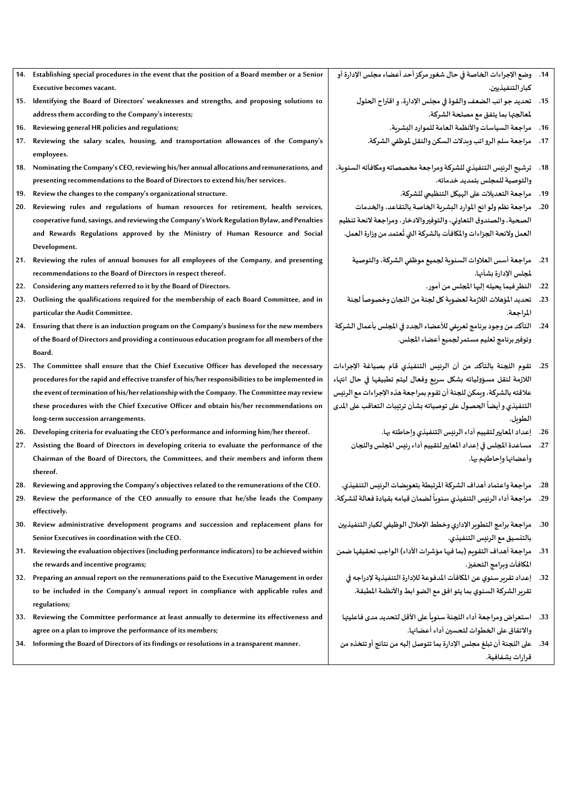- **14. Establishing special procedures in the event that the position of a Board member or a Senior Executive becomes vacant.**
- **15. Identifying the Board of Directors' weaknesses and strengths, and proposing solutions to address them according to the Company's interests;**
- **16. Reviewing general HR policies and regulations;**
- **17. Reviewing the salary scales, housing, and transportation allowances of the Company's employees.**
- **18. Nominating the Company's CEO, reviewing his/her annual allocations and remunerations, and presenting recommendations to the Board of Directors to extend his/her services.**
- **19. Review the changes to the company's organizational structure.**
- **20. Reviewing rules and regulations of human resources for retirement, health services, cooperative fund, savings, and reviewing the Company's Work Regulation Bylaw, and Penalties and Rewards Regulations approved by the Ministry of Human Resource and Social Development.**
- **21. Reviewing the rules of annual bonuses for all employees of the Company, and presenting recommendations to the Board of Directors in respect thereof.**
- **22. Considering any matters referred to it by the Board of Directors.**
- **23. Outlining the qualifications required for the membership of each Board Committee, and in particular the Audit Committee.**
- **24. Ensuring that there is an induction program on the Company's business for the new members of the Board of Directors and providing a continuous education program for all members of the Board.**
- **25. The Committee shall ensure that the Chief Executive Officer has developed the necessary procedures for the rapid and effective transfer of his/her responsibilities to be implemented in the event of termination of his/her relationship with the Company. The Committee may review these procedures with the Chief Executive Officer and obtain his/her recommendations on long-term succession arrangements.**
- **26. Developing criteria for evaluating the CEO's performance and informing him/her thereof.**
- **27. Assisting the Board of Directors in developing criteria to evaluate the performance of the Chairman of the Board of Directors, the Committees, and their members and inform them thereof.**
- **28. Reviewing and approving the Company's objectives related to the remunerations of the CEO.**
- **29. Review the performance of the CEO annually to ensure that he/she leads the Company effectively.**
- **30. Review administrative development programs and succession and replacement plans for Senior Executives in coordination with the CEO.**
- **31. Reviewing the evaluation objectives (including performance indicators) to be achieved within the rewards and incentive programs;**
- **32. Preparing an annual report on the remunerations paid to the Executive Management in order to be included in the Company's annual report in compliance with applicable rules and regulations;**
- **33. Reviewing the Committee performance at least annually to determine its effectiveness and agree on a plan to improve the performance of its members;**
- **34. Informing the Board of Directors of its findings or resolutions in a transparent manner.**
- **.14 وضع اإلجراءات الخاصةفي حال شغورمركزأحد أعضاءمجلس اإلدارةأو كبار التنفيذيين.** 
	- **.15 تحديد جوانبالضعف والقوة فيمجلس اإلدارة،واقتراح الحلول ملعالجتها بما يتفق مع مصلحة الشركة.** 
		- 16. مراجعة السياسات والأنظمة العامة للموارد البشرية.
		- **.17 مراجعة سلم الرواتب وبدالت السكن والنقل ملوظفي الشركة.**
- **.18 ترشيح الرئيس التنفيذي للشركة ومراجعة مخصصاته ومكافآته السنوية، والتوصية للمجلس بتمديد خدماته.** 
	- **.19 مراجعة التعديالت على الهيكل التنظيمي للشركة.**
- **.20 مراجعةنظم ولوائح املواردالبشريةالخاصةبالتقاعد،والخدمات الصحية،والصندوق التعاوني،والتوفيرواالدخار،ومراجعة الئحةتنظيم** العمل ولائحة الجزاءات والمكافآت بالشركة التي تُعتمد من وزارة العمل. **ُ**
	- **.21 مراجعة أسس العالوات السنوية لجميع موظفي الشركة، والتوصية ملجلس اإلدارة بشأنها.**
		- **.22 النظرفيما يحيلهإليها املجلس من أمور.**
	- **.23 لجنة تحديد املؤهالت الالزمةلعضويةكل لجنةمن اللجان وخصوصا ً املراجعة.**
- **.24 التأكد من وجود برنامج تعريفي لألعضاء الجدد في املجلس بأعمال الشركة وتوفير برنامج تعليم مستمر لجميع أعضاء املجلس.**
- **.25 تقوم اللجنة بالتأكد من أن الرئيس التنفيذي قام بصياغة اإلجراءات الالزمة لنقل مسؤولياته بشكل سريع وفعال ليتم تطبيقها في حال انتهاء عالقته بالشركة، ويمكن للجنة أن تقوم بمراجعة هذه اإلجراءات مع الرئيس الحصول على توصياتهبشأن ترتيبات التعاقب على املدى التنفيذي وأيضا ً الطويل.** 
	- **.26 إعداد املعايير لتقييم أداء الرئيس التنفيذي وإحاطته بها.**
	- **.27 مساعدةاملجلس فيإعداداملعاييرلتقييم أداءرئيس املجلس واللجان وأعضائها وإحاطتهم بها.**
	- **.28 مراجعة واعتماد أهداف الشركة املرتبطة بتعويضات الرئيس التنفيذي. ً**
- 29. مراجعة أداء الرئيس التنفيذي سنوياً لضمان قيامه بقيادة فعالة للشركة.
- **.30 مراجعةبرامج التطويراإلداري وخطط اإلحالل الوظيفي لكبارالتنفيذيين بالتنسيق مع الرئيس التنفيذي.**
- 31. مراجعة أهداف التقويم (بما فيها مؤشرات الأداء) الواجب تحقيقها ضمن **املكافآت وبرامج التحفيز.**
	- **.32 إعدادتقريرسنوي عن املكافآت املدفوعةلإلدارةالتنفيذية إلدراجهفي تقريرالشركةالسنوي بما يتو افق مع الضوابط واألنظمةاملطبقة.**
- 33. استعراض ومراجعة أداء اللجنة سنوياً على الأقل لتحديد مدى فاعليتها **ً واالتفاق على الخطوات لتحسين أداء أعضائها.**
- **.34 علىاللجنةأن تبلغ مجلس اإلدارة بما تتوصل إليهمن نتائج أوتتخذهمن قرارات بشفافية.**